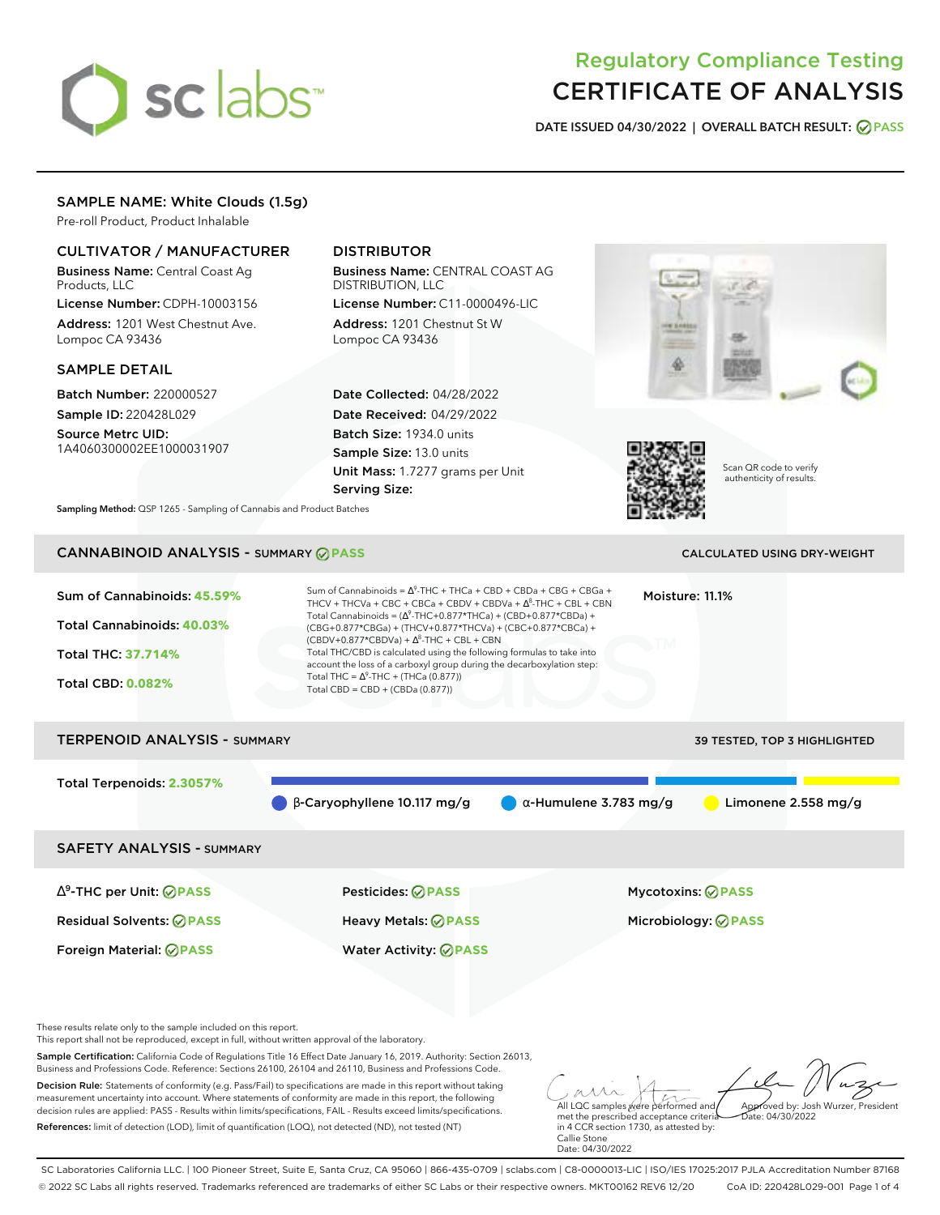# sclabs

# Regulatory Compliance Testing CERTIFICATE OF ANALYSIS

**DATE ISSUED 04/30/2022 | OVERALL BATCH RESULT: PASS**

## SAMPLE NAME: White Clouds (1.5g)

Pre-roll Product, Product Inhalable

# CULTIVATOR / MANUFACTURER

Business Name: Central Coast Ag Products, LLC

License Number: CDPH-10003156 Address: 1201 West Chestnut Ave. Lompoc CA 93436

### SAMPLE DETAIL

Batch Number: 220000527 Sample ID: 220428L029

Source Metrc UID: 1A4060300002EE1000031907

# DISTRIBUTOR

Business Name: CENTRAL COAST AG DISTRIBUTION, LLC License Number: C11-0000496-LIC

Address: 1201 Chestnut St W Lompoc CA 93436

Date Collected: 04/28/2022 Date Received: 04/29/2022 Batch Size: 1934.0 units Sample Size: 13.0 units Unit Mass: 1.7277 grams per Unit Serving Size:





Scan QR code to verify authenticity of results.

**Sampling Method:** QSP 1265 - Sampling of Cannabis and Product Batches

# **CANNABINOID ANALYSIS - SUMMARY @ PASS** CALCULATED USING DRY-WEIGHT

# Sum of Cannabinoids: **45.59%** Total Cannabinoids: **40.03%** Total THC: **37.714%** Total CBD: **0.082%** Sum of Cannabinoids =  $\Delta^9$ -THC + THCa + CBD + CBDa + CBG + CBGa + THCV + THCVa + CBC + CBCa + CBDV + CBDVa +  $\Delta^8$ -THC + CBL + CBN Total Cannabinoids = ( $\Delta^9$ -THC+0.877\*THCa) + (CBD+0.877\*CBDa) + (CBG+0.877\*CBGa) + (THCV+0.877\*THCVa) + (CBC+0.877\*CBCa) +  $(CBDV+0.877*CBDVa) + \Delta^8$ -THC + CBL + CBN Total THC/CBD is calculated using the following formulas to take into account the loss of a carboxyl group during the decarboxylation step: Total THC =  $\Delta^9$ -THC + (THCa (0.877)) Total CBD = CBD + (CBDa (0.877)) Moisture: 11.1% TERPENOID ANALYSIS - SUMMARY 39 TESTED, TOP 3 HIGHLIGHTED Total Terpenoids: **2.3057%**  $\beta$  β-Caryophyllene 10.117 mg/g  $\alpha$ -Humulene 3.783 mg/g  $\alpha$  Limonene 2.558 mg/g SAFETY ANALYSIS - SUMMARY ∆ 9 -THC per Unit: **PASS** Pesticides: **PASS** Mycotoxins: **PASS** Residual Solvents: **PASS** Heavy Metals: **PASS** Microbiology: **PASS** Foreign Material: **PASS** Water Activity: **PASS**

These results relate only to the sample included on this report.

This report shall not be reproduced, except in full, without written approval of the laboratory.

Sample Certification: California Code of Regulations Title 16 Effect Date January 16, 2019. Authority: Section 26013, Business and Professions Code. Reference: Sections 26100, 26104 and 26110, Business and Professions Code.

Decision Rule: Statements of conformity (e.g. Pass/Fail) to specifications are made in this report without taking measurement uncertainty into account. Where statements of conformity are made in this report, the following decision rules are applied: PASS - Results within limits/specifications, FAIL - Results exceed limits/specifications. References: limit of detection (LOD), limit of quantification (LOQ), not detected (ND), not tested (NT)

All LQC samples were performed and Approved by: Josh Wurzer, President  $hat: 04/30/2022$ 

met the prescribed acceptance criteria in 4 CCR section 1730, as attested by: Callie Stone Date: 04/30/2022

SC Laboratories California LLC. | 100 Pioneer Street, Suite E, Santa Cruz, CA 95060 | 866-435-0709 | sclabs.com | C8-0000013-LIC | ISO/IES 17025:2017 PJLA Accreditation Number 87168 © 2022 SC Labs all rights reserved. Trademarks referenced are trademarks of either SC Labs or their respective owners. MKT00162 REV6 12/20 CoA ID: 220428L029-001 Page 1 of 4